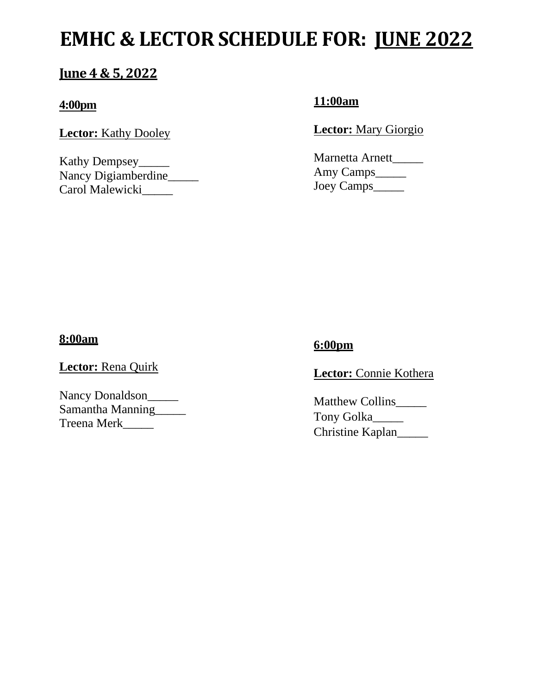## **June 4 & 5, 2022**

### **4:00pm**

**Lector:** Kathy Dooley

Kathy Dempsey\_\_\_\_\_ Nancy Digiamberdine\_\_\_\_\_ Carol Malewicki\_\_\_\_\_

## **11:00am**

**Lector:** Mary Giorgio

Marnetta Arnett\_\_\_\_\_ Amy Camps\_\_\_\_\_ Joey Camps\_\_\_\_\_

### **8:00am**

**Lector:** Rena Quirk

Nancy Donaldson Samantha Manning\_\_\_\_\_ Treena Merk\_\_\_\_\_

## **6:00pm**

**Lector:** Connie Kothera

Matthew Collins\_ Tony Golka\_\_\_\_\_ Christine Kaplan\_\_\_\_\_\_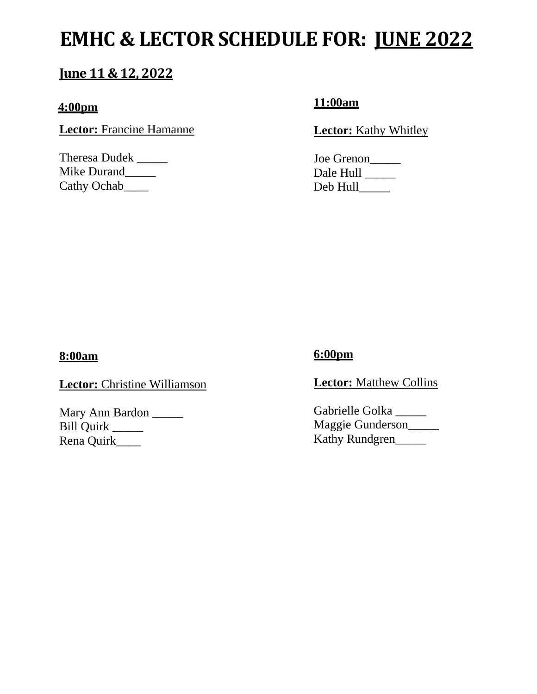## **June 11 & 12, 2022**

### **4:00pm**

**Lector:** Francine Hamanne

Theresa Dudek \_\_\_\_\_ Mike Durand\_\_\_\_\_ Cathy Ochab\_\_\_\_

## **11:00am**

**Lector:** Kathy Whitley

Joe Grenon\_\_\_\_\_ Dale Hull \_\_\_\_\_\_\_ Deb Hull\_\_\_\_\_\_

#### **8:00am**

**Lector:** Christine Williamson

Mary Ann Bardon \_\_\_\_\_ Bill Quirk \_\_\_\_\_ Rena Quirk\_\_\_\_

## **6:00pm**

**Lector:** Matthew Collins

Gabrielle Golka \_\_\_\_\_ Maggie Gunderson\_\_\_\_\_ Kathy Rundgren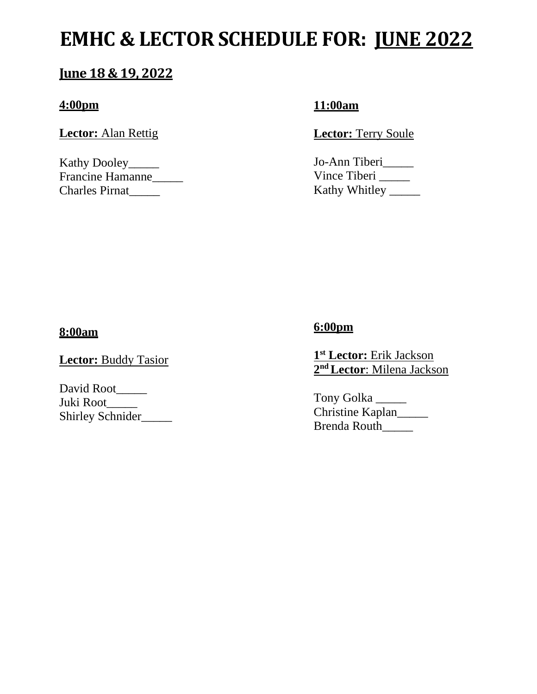## **June 18 & 19, 2022**

## **4:00pm**

## **Lector:** Alan Rettig

Kathy Dooley\_\_\_\_\_ Francine Hamanne\_\_\_\_\_ Charles Pirnat\_\_\_\_\_

## **11:00am**

**Lector:** Terry Soule

Jo-Ann Tiberi\_\_\_\_\_ Vince Tiberi \_\_\_\_\_\_ Kathy Whitley \_\_\_\_\_\_\_\_

## **8:00am**

**Lector:** Buddy Tasior

David Root\_\_\_\_\_\_ Juki Root\_\_\_\_\_ Shirley Schnider\_\_\_\_\_\_

## **6:00pm**

**1 st Lector:** Erik Jackson **2 ndLector**: Milena Jackson

Tony Golka \_\_\_\_\_ Christine Kaplan\_\_\_\_\_ Brenda Routh\_\_\_\_\_